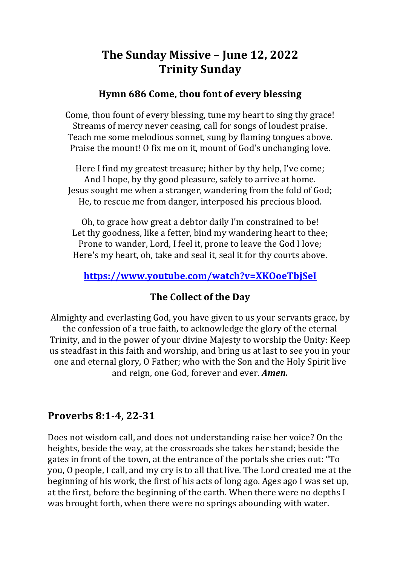# **The Sunday Missive - June 12, 2022 Trinity Sunday**

#### **Hymn 686 Come, thou font of every blessing**

Come, thou fount of every blessing, tune my heart to sing thy grace! Streams of mercy never ceasing, call for songs of loudest praise. Teach me some melodious sonnet, sung by flaming tongues above. Praise the mount! O fix me on it, mount of God's unchanging love.

Here I find my greatest treasure; hither by thy help, I've come; And I hope, by thy good pleasure, safely to arrive at home. Jesus sought me when a stranger, wandering from the fold of God; He, to rescue me from danger, interposed his precious blood.

Oh, to grace how great a debtor daily I'm constrained to be! Let thy goodness, like a fetter, bind my wandering heart to thee; Prone to wander, Lord, I feel it, prone to leave the God I love; Here's my heart, oh, take and seal it, seal it for thy courts above.

### **https://www.youtube.com/watch?v=XKOoeTbjSeI**

### **The Collect of the Day**

Almighty and everlasting God, you have given to us your servants grace, by the confession of a true faith, to acknowledge the glory of the eternal Trinity, and in the power of your divine Majesty to worship the Unity: Keep us steadfast in this faith and worship, and bring us at last to see you in your one and eternal glory, O Father; who with the Son and the Holy Spirit live and reign, one God, forever and ever. **Amen.** 

### **Proverbs 8:1-4, 22-31**

Does not wisdom call, and does not understanding raise her voice? On the heights, beside the way, at the crossroads she takes her stand; beside the gates in front of the town, at the entrance of the portals she cries out: "To you, O people, I call, and my cry is to all that live. The Lord created me at the beginning of his work, the first of his acts of long ago. Ages ago I was set up, at the first, before the beginning of the earth. When there were no depths I was brought forth, when there were no springs abounding with water.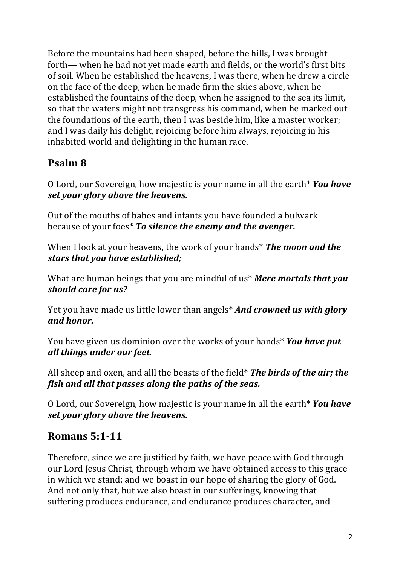Before the mountains had been shaped, before the hills, I was brought forth— when he had not yet made earth and fields, or the world's first bits of soil. When he established the heavens, I was there, when he drew a circle on the face of the deep, when he made firm the skies above, when he established the fountains of the deep, when he assigned to the sea its limit, so that the waters might not transgress his command, when he marked out the foundations of the earth, then I was beside him, like a master worker; and I was daily his delight, rejoicing before him always, rejoicing in his inhabited world and delighting in the human race.

# **Psalm 8**

O Lord, our Sovereign, how majestic is your name in all the earth<sup>\*</sup> You have set your glory above the heavens.

Out of the mouths of babes and infants you have founded a bulwark because of your foes<sup>\*</sup> To silence the enemy and the avenger.

When I look at your heavens, the work of your hands<sup>\*</sup> The moon and the stars that you have established;

What are human beings that you are mindful of us<sup>\*</sup> Mere mortals that you should care for us?

Yet you have made us little lower than angels<sup>\*</sup> And crowned us with glory *and honor.* 

You have given us dominion over the works of your hands\* *You have put all things under our feet.*

All sheep and oxen, and alll the beasts of the field<sup>\*</sup> **The birds of the air; the** *fish and all that passes along the paths of the seas.* 

O Lord, our Sovereign, how majestic is your name in all the earth<sup>\*</sup> You have *set vour alory above the heavens.* 

# **Romans 5:1-11**

Therefore, since we are justified by faith, we have peace with God through our Lord Jesus Christ, through whom we have obtained access to this grace in which we stand; and we boast in our hope of sharing the glory of God. And not only that, but we also boast in our sufferings, knowing that suffering produces endurance, and endurance produces character, and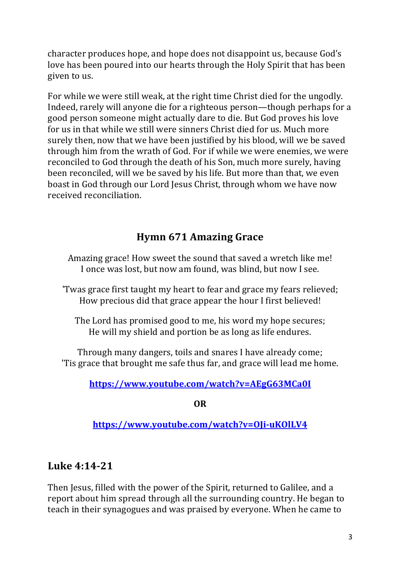character produces hope, and hope does not disappoint us, because God's love has been poured into our hearts through the Holy Spirit that has been given to us.

For while we were still weak, at the right time Christ died for the ungodly. Indeed, rarely will anyone die for a righteous person—though perhaps for a good person someone might actually dare to die. But God proves his love for us in that while we still were sinners Christ died for us. Much more surely then, now that we have been justified by his blood, will we be saved through him from the wrath of God. For if while we were enemies, we were reconciled to God through the death of his Son, much more surely, having been reconciled, will we be saved by his life. But more than that, we even boast in God through our Lord Jesus Christ, through whom we have now received reconciliation.

# **Hymn 671 Amazing Grace**

Amazing grace! How sweet the sound that saved a wretch like me! I once was lost, but now am found, was blind, but now I see.

'Twas grace first taught my heart to fear and grace my fears relieved; How precious did that grace appear the hour I first believed!

The Lord has promised good to me, his word my hope secures; He will my shield and portion be as long as life endures.

Through many dangers, toils and snares I have already come; 'Tis grace that brought me safe thus far, and grace will lead me home.

#### **https://www.youtube.com/watch?v=AEgG63MCa0I**

**OR**

**https://www.youtube.com/watch?v=OJi-uKOlLV4**

### **Luke 4:14-21**

Then Jesus, filled with the power of the Spirit, returned to Galilee, and a report about him spread through all the surrounding country. He began to teach in their synagogues and was praised by everyone. When he came to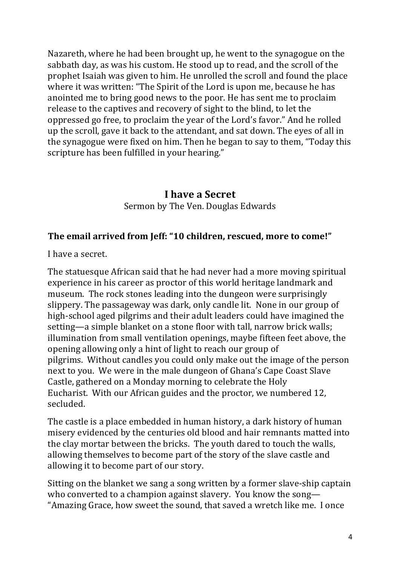Nazareth, where he had been brought up, he went to the synagogue on the sabbath day, as was his custom. He stood up to read, and the scroll of the prophet Isaiah was given to him. He unrolled the scroll and found the place where it was written: "The Spirit of the Lord is upon me, because he has anointed me to bring good news to the poor. He has sent me to proclaim release to the captives and recovery of sight to the blind, to let the oppressed go free, to proclaim the year of the Lord's favor." And he rolled up the scroll, gave it back to the attendant, and sat down. The eyes of all in the synagogue were fixed on him. Then he began to say to them, "Today this scripture has been fulfilled in your hearing."

# **I have a Secret** Sermon by The Ven. Douglas Edwards

#### **The email arrived from Jeff: "10 children, rescued, more to come!"**

I have a secret.

The statuesque African said that he had never had a more moving spiritual experience in his career as proctor of this world heritage landmark and museum. The rock stones leading into the dungeon were surprisingly slippery. The passageway was dark, only candle lit. None in our group of high-school aged pilgrims and their adult leaders could have imagined the setting—a simple blanket on a stone floor with tall, narrow brick walls; illumination from small ventilation openings, maybe fifteen feet above, the opening allowing only a hint of light to reach our group of pilgrims. Without candles you could only make out the image of the person next to you. We were in the male dungeon of Ghana's Cape Coast Slave Castle, gathered on a Monday morning to celebrate the Holy Eucharist. With our African guides and the proctor, we numbered 12, secluded.

The castle is a place embedded in human history, a dark history of human misery evidenced by the centuries old blood and hair remnants matted into the clay mortar between the bricks. The youth dared to touch the walls, allowing themselves to become part of the story of the slave castle and allowing it to become part of our story.

Sitting on the blanket we sang a song written by a former slave-ship captain who converted to a champion against slavery. You know the song— "Amazing Grace, how sweet the sound, that saved a wretch like me. I once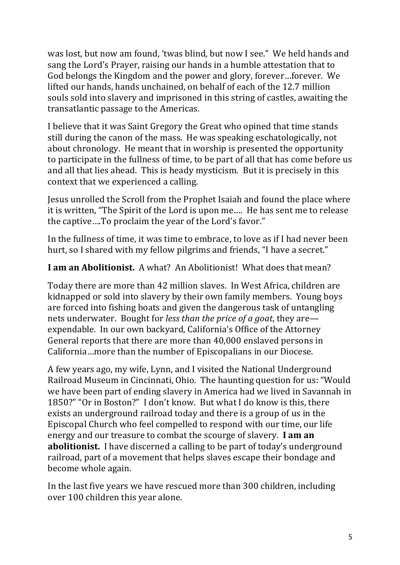was lost, but now am found, 'twas blind, but now I see." We held hands and sang the Lord's Prayer, raising our hands in a humble attestation that to God belongs the Kingdom and the power and glory, forever...forever. We lifted our hands, hands unchained, on behalf of each of the 12.7 million souls sold into slavery and imprisoned in this string of castles, awaiting the transatlantic passage to the Americas.

I believe that it was Saint Gregory the Great who opined that time stands still during the canon of the mass. He was speaking eschatologically, not about chronology. He meant that in worship is presented the opportunity to participate in the fullness of time, to be part of all that has come before us and all that lies ahead. This is heady mysticism. But it is precisely in this context that we experienced a calling.

Jesus unrolled the Scroll from the Prophet Isaiah and found the place where it is written, "The Spirit of the Lord is upon me.... He has sent me to release the captive....To proclaim the year of the Lord's favor."

In the fullness of time, it was time to embrace, to love as if I had never been hurt, so I shared with my fellow pilgrims and friends, "I have a secret."

#### **I am an Abolitionist.** A what? An Abolitionist! What does that mean?

Today there are more than 42 million slaves. In West Africa, children are kidnapped or sold into slavery by their own family members. Young boys are forced into fishing boats and given the dangerous task of untangling nets underwater. Bought for *less than the price of a goat*, they are expendable. In our own backyard, California's Office of the Attorney General reports that there are more than 40,000 enslaved persons in California...more than the number of Episcopalians in our Diocese.

A few years ago, my wife, Lynn, and I visited the National Underground Railroad Museum in Cincinnati, Ohio. The haunting question for us: "Would we have been part of ending slavery in America had we lived in Savannah in 1850?" "Or in Boston?" I don't know. But what I do know is this, there exists an underground railroad today and there is a group of us in the Episcopal Church who feel compelled to respond with our time, our life energy and our treasure to combat the scourge of slavery. I am an **abolitionist.** I have discerned a calling to be part of today's underground railroad, part of a movement that helps slaves escape their bondage and become whole again.

In the last five years we have rescued more than 300 children, including over 100 children this year alone.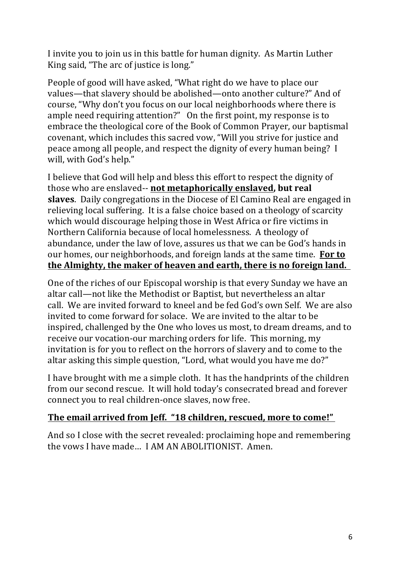I invite you to join us in this battle for human dignity. As Martin Luther King said, "The arc of justice is long."

People of good will have asked, "What right do we have to place our values—that slavery should be abolished—onto another culture?" And of course, "Why don't you focus on our local neighborhoods where there is ample need requiring attention?" On the first point, my response is to embrace the theological core of the Book of Common Prayer, our baptismal covenant, which includes this sacred vow, "Will you strive for justice and peace among all people, and respect the dignity of every human being? I will, with God's help."

I believe that God will help and bless this effort to respect the dignity of those who are enslaved-- **not metaphorically enslaved, but real slaves**. Daily congregations in the Diocese of El Camino Real are engaged in relieving local suffering. It is a false choice based on a theology of scarcity which would discourage helping those in West Africa or fire victims in Northern California because of local homelessness. A theology of abundance, under the law of love, assures us that we can be God's hands in our homes, our neighborhoods, and foreign lands at the same time. For to the Almighty, the maker of heaven and earth, there is no foreign land.

One of the riches of our Episcopal worship is that every Sunday we have an altar call—not like the Methodist or Baptist, but nevertheless an altar call. We are invited forward to kneel and be fed God's own Self. We are also invited to come forward for solace. We are invited to the altar to be inspired, challenged by the One who loves us most, to dream dreams, and to receive our vocation-our marching orders for life. This morning, my invitation is for you to reflect on the horrors of slavery and to come to the altar asking this simple question, "Lord, what would you have me do?"

I have brought with me a simple cloth. It has the handprints of the children from our second rescue. It will hold today's consecrated bread and forever connect you to real children-once slaves, now free.

#### The email arrived from Jeff. "18 children, rescued, more to come!"

And so I close with the secret revealed: proclaiming hope and remembering the yows I have made... I AM AN ABOLITIONIST. Amen.